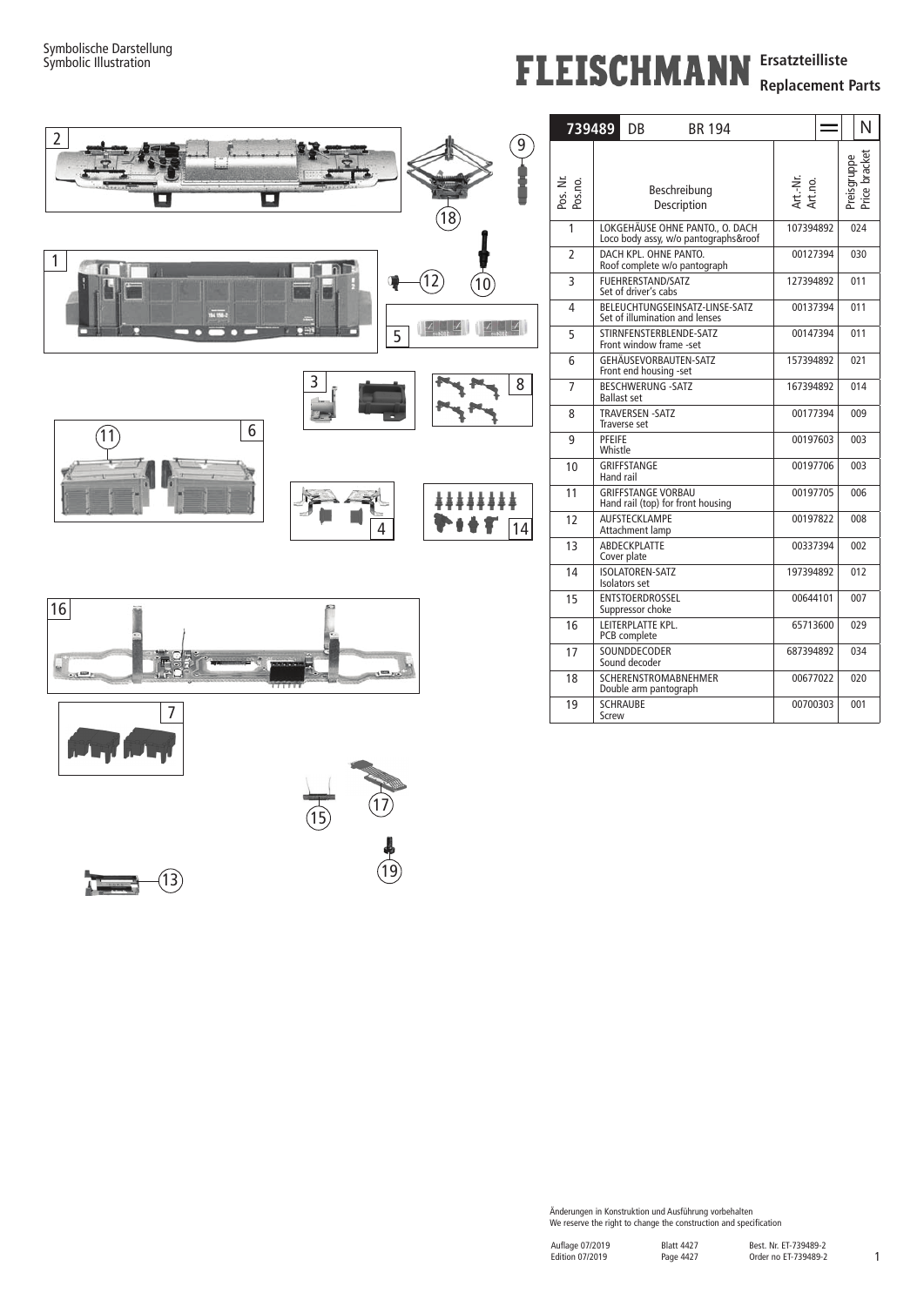## **FLEISCHMANN** Ersatzteilliste

**Replacement Parts**







 $\sqrt{2}$ 

 $(13)$ 



| 739489              |                                                                | DB                                               | <b>BR 194</b>                                                           |           |                     |          | N                            |  |
|---------------------|----------------------------------------------------------------|--------------------------------------------------|-------------------------------------------------------------------------|-----------|---------------------|----------|------------------------------|--|
| Pos. Nr.<br>Pos.no. | Beschreibung<br>Description                                    |                                                  |                                                                         |           | Art.-Nr.<br>Art.no. |          | Price bracket<br>Preisgruppe |  |
| 1                   |                                                                |                                                  | LOKGEHÄUSE OHNE PANTO., O. DACH<br>Loco body assy, w/o pantographs&roof | 107394892 |                     | 024      |                              |  |
| $\overline{2}$      |                                                                |                                                  | DACH KPL. OHNE PANTO.<br>Roof complete w/o pantograph                   | 00127394  |                     | 030      |                              |  |
| 3                   |                                                                | <b>FUEHRERSTAND/SATZ</b><br>Set of driver's cabs |                                                                         | 127394892 |                     | 011      |                              |  |
| 4                   |                                                                |                                                  | BELEUCHTUNGSEINSATZ-LINSE-SATZ<br>Set of illumination and lenses        | 00137394  |                     | 011      |                              |  |
| 5                   |                                                                |                                                  | STIRNFENSTERBLENDE-SATZ<br>Front window frame -set                      | 00147394  |                     | 011      |                              |  |
| 6                   | GEHÄUSEVORBAUTEN-SATZ<br>Front end housing -set                |                                                  |                                                                         |           | 157394892           |          | 021                          |  |
| 7                   | <b>BESCHWERUNG -SATZ</b><br><b>Ballast set</b>                 |                                                  |                                                                         |           | 167394892           |          | 014                          |  |
| 8                   | <b>TRAVERSEN -SATZ</b><br>Traverse set                         |                                                  |                                                                         |           | 00177394            |          | 009                          |  |
| 9                   | PFEIFE<br>Whistle                                              |                                                  |                                                                         |           | 00197603            |          | 003                          |  |
| 10                  | <b>GRIFFSTANGE</b><br>Hand rail                                |                                                  |                                                                         |           | 00197706            |          | 003                          |  |
| 11                  | <b>GRIFFSTANGE VORBAU</b><br>Hand rail (top) for front housing |                                                  |                                                                         |           | 00197705            |          | 006                          |  |
| 12                  | AUFSTECKLAMPE<br>Attachment lamp                               |                                                  |                                                                         |           | 00197822            |          | 800                          |  |
| 13                  | ABDECKPLATTE<br>Cover plate                                    |                                                  |                                                                         |           | 00337394            |          | 002                          |  |
| 14                  | <b>ISOLATOREN-SATZ</b><br>Isolators set                        |                                                  |                                                                         |           | 197394892           |          | 012                          |  |
| 15                  | <b>ENTSTOERDROSSEL</b><br>Suppressor choke                     |                                                  |                                                                         |           | 00644101            |          | 007                          |  |
| 16                  | LEITERPLATTE KPL.<br>PCB complete                              |                                                  |                                                                         |           | 65713600            |          | 029                          |  |
| 17                  | SOUNDDECODER<br>Sound decoder                                  |                                                  |                                                                         |           | 687394892           |          | 034                          |  |
| 18                  | <b>SCHERENSTROMABNEHMER</b><br>Double arm pantograph           |                                                  |                                                                         |           |                     | 00677022 | 020                          |  |
| 19                  | <b>SCHRAUBE</b><br>Screw                                       |                                                  |                                                                         | 00700303  |                     | 001      |                              |  |

Änderungen in Konstruktion und Ausführung vorbehalten We reserve the right to change the construction and specification

1